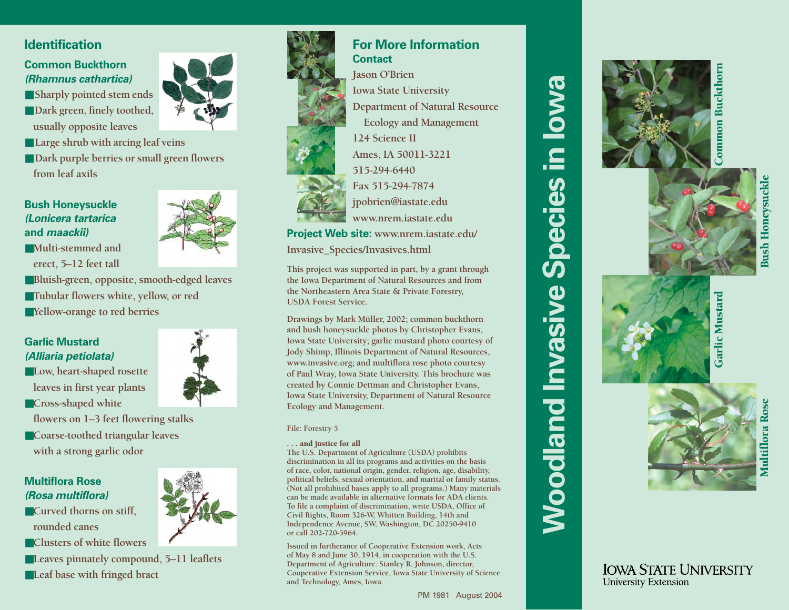# **Identification**

## **Common Buckthorn(Rhamnus cathartica)**

- Sharply pointed stem ends ■ Dark green, finely toothed, **usually opposite leaves**
- ■ **Large shrub with arcing leaf veins**
- Dark purple berries or small green flowers **from leaf axils**

## **Bush Honeysuckle (Lonicera tartarica and maackii)**

■**Multi-stemmed anderect, 5–12 feet tall**

- 
- ■**Bluish-green, opposite, smooth-edged leaves**
- ■**Tubular flowers white, yellow, or red**
- ■**Yellow-orange to red berries**



- ■**Low, heart-shaped rosette leaves in first year plants**
- ■**Cross-shaped white**
- **flowers on 1–3 feet flowering stalks**
- ■**Coarse-toothed triangular leaves with a strong garlic odor**

## **Multiflora Rose(Rosa multiflora)**

- ■**Curved thorns on stiff, rounded canes**
- ■**Clusters of white flowers**
- ■**Leaves pinnately compound, 5–11 leaflets**
- ■**Leaf base with fringed bract**



# **For More InformationContactJason O'Brien**

**Iowa State University Department of Natural Resource Ecology and Management 124 Science IIAmes, IA 50011-3221 515-294-6440Fax 515-294-7874jpobrien@iastate.edu www.nrem.iastate.edu**

**Project Web site: www.nrem.iastate.edu/ Invasive\_Species/Invasives.html**

**This project was supported in part, by a grant through the Iowa Department of Natural Resources and from the Northeastern Area State & Private Forestry, USDA Forest Service.**

**Drawings by Mark Müller, 2002; common buckthorn and bush honeysuckle photos by Christopher Evans, Iowa State University; garlic mustard photo courtesy of Jody Shimp, Illinois Department of Natural Resources, www.invasive.org; and multiflora rose photo courtesy of Paul Wray, Iowa State University. This brochure was created by Connie Dettman and Christopher Evans, Iowa State University, Department of Natural Resource Ecology and Management.**

#### **File: Forestry 5**

#### . . . and justice for all

**The U.S. Department of Agriculture (USDA) prohibits discrimination in all its programs and activities on the basis of race, color, national origin, gender, religion, age, disability, political beliefs, sexual orientation, and marital or family status. (Not all prohibited bases apply to all programs.) Many materials can be made available in alternative formats for ADA clients. To file a complaint of discrimination, write USDA, Office of Civil Rights, Room 326-W, Whitten Building, 14th and Independence Avenue, SW, Washington, DC 20250-9410 or call 202-720-5964.**

**Issued in furtherance of Cooperative Extension work, Acts of May 8 and June 30, 1914, in cooperation with the U.S. Department of Agriculture. Stanley R. Johnson, director, Cooperative Extension Service, Iowa State University of Science and Technology, Ames, Iowa.**



**Woodland Invasive Species in Iowa**

*Noodland Invasiv* 

 $\mathbf{d}$ 

**Speci** 

**BWO** 

 $\overline{\mathbf{a}}$ 



**IOWA STATE UNIVERSITY** 

**University Extension** 

Common Buckthornommon Buckthorn

> Multiflora Rose **Multiflora Ros**